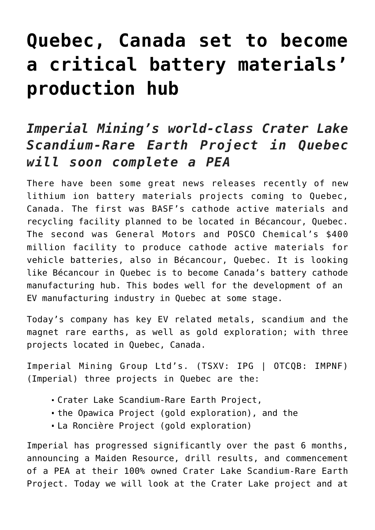# **[Quebec, Canada set to become](https://investorintel.com/markets/technology-metals/technology-metals-intel/quebec-canada-set-to-become-a-critical-battery-materials-production-hub/) [a critical battery materials'](https://investorintel.com/markets/technology-metals/technology-metals-intel/quebec-canada-set-to-become-a-critical-battery-materials-production-hub/) [production hub](https://investorintel.com/markets/technology-metals/technology-metals-intel/quebec-canada-set-to-become-a-critical-battery-materials-production-hub/)**

## *Imperial Mining's world-class Crater Lake Scandium-Rare Earth Project in Quebec will soon complete a PEA*

There have been some great news releases recently of new lithium ion battery materials projects coming to Quebec, Canada. The first was [BASF's cathode active materials and](https://www.basf.com/global/en/media/news-releases/2022/03/p-22-133.html) [recycling facility](https://www.basf.com/global/en/media/news-releases/2022/03/p-22-133.html) planned to be located in Bécancour, Quebec. The second was [General Motors and POSCO Chemical's \\$400](https://investorintel.com/markets/technology-metals/technology-metals-intel/the-north-american-lithium-rush-is-on/) [million facility](https://investorintel.com/markets/technology-metals/technology-metals-intel/the-north-american-lithium-rush-is-on/) to produce cathode active materials for vehicle batteries, also in Bécancour, Quebec. It is looking like Bécancour in Quebec is to become Canada's battery cathode manufacturing hub. This bodes well for the development of an EV manufacturing industry in Quebec at some stage.

Today's company has key EV related metals, scandium and the magnet rare earths, as well as gold exploration; with three projects located in Quebec, Canada.

[Imperial Mining Group Ltd's.](https://imperialmgp.com/) (TSXV: IPG | OTCQB: IMPNF) (Imperial) three projects in Quebec are the:

- [Crater Lake Scandium-Rare Earth Project,](https://imperialmgp.com/projects/crater-lake/)
- [the Opawica Project](https://imperialmgp.com/projects/opawica/) (gold exploration), and the
- [La Roncière Project](https://imperialmgp.com/projects/la-ronciere/) (gold exploration)

Imperial has progressed significantly over the past 6 months, announcing a Maiden Resource, drill results, and commencement of a PEA at their 100% owned Crater Lake Scandium-Rare Earth Project. Today we will look at the Crater Lake project and at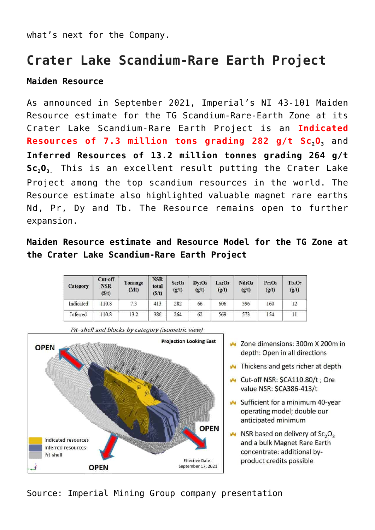what's next for the Company.

## **Crater Lake Scandium-Rare Earth Project**

#### **Maiden Resource**

As [announced](https://investorintel.com/markets/technology-metals/technology-metals-news/imperial-mining-receives-highly-encouraging-ni-43-101-resource-estimate-for-the-tg-scandium-rare-earth-zone-remains-open-to-further-expansion/) in September 2021, Imperial's NI 43-101 Maiden Resource estimate for the TG Scandium-Rare-Earth Zone at its Crater Lake Scandium-Rare Earth Project is an **Indicated Resources of 7.3 million tons grading 282 g/t Sc<sub>2</sub>0**, and **Inferred Resources of 13.2 million tonnes grading 264 g/t Sc2O3.** This is an excellent result putting the Crater Lake Project [among the top scandium resources in the world.](https://imperialmgp.com/site/assets/files/5201/imperial_presentation_-_jan_2022.pdf) The Resource estimate also highlighted valuable magnet rare earths Nd, Pr, Dy and Tb. The Resource remains open to further expansion.

### **Maiden Resource estimate and Resource Model for the TG Zone at the Crater Lake Scandium-Rare Earth Project**

| Category  | Cut-off<br><b>NSR</b><br>(S/t) | Tonnage<br>(Mt) | <b>NSR</b><br>total<br>(S/t) | Sc <sub>2</sub> O <sub>3</sub><br>(g/t) | $Dv_2O_3$<br>(g/t) | La <sub>2</sub> O <sub>3</sub><br>(g/t) | Nd <sub>2</sub> O <sub>3</sub><br>(g/t) | Pr <sub>1</sub> O <sub>3</sub><br>(g/t) | $Tb_4O_7$<br>(g/t) |
|-----------|--------------------------------|-----------------|------------------------------|-----------------------------------------|--------------------|-----------------------------------------|-----------------------------------------|-----------------------------------------|--------------------|
| Indicated | 110.8                          | 7.3             | 413                          | 282                                     | 66                 | 606                                     | 596                                     | 160                                     | 12                 |
| Inferred  | 110.8                          | 13.2            | 386                          | 264                                     | 62                 | 569                                     | 573                                     | 154                                     | $_{11}$            |



- ▲ Zone dimensions: 300m X 200m in depth: Open in all directions
- Thickens and gets richer at depth
- Cut-off NSR: SCA110.80/t : Ore value NSR: SCA386-413/t
- Sufficient for a minimum 40-year operating model; double our anticipated minimum
- $\sim$  NSR based on delivery of Sc<sub>2</sub>O<sub>3</sub> and a bulk Magnet Rare Earth concentrate: additional byproduct credits possible
- Source: [Imperial Mining Group company presentation](https://imperialmgp.com/site/assets/files/5201/imperial_presentation_-_jan_2022.pdf)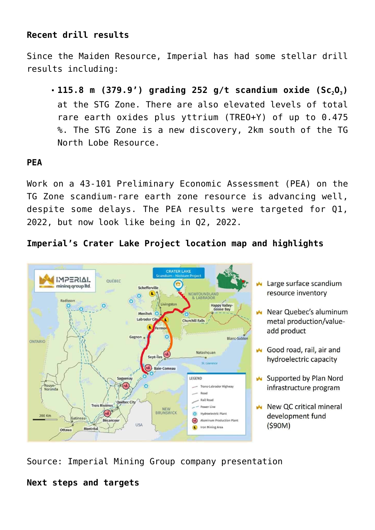#### **Recent drill results**

Since the Maiden Resource, Imperial has had some stellar drill results including:

**[115.8 m \(379.9'\) grading 252 g/t scandium oxide \(Sc](https://investorintel.com/markets/technology-metals/technology-metals-news/imperial-mining-crater-lake-drilling-intersects-new-zone-returns-115-8-m-of-scandium-rare-earth-mineralization/)[2](https://investorintel.com/markets/technology-metals/technology-metals-news/imperial-mining-crater-lake-drilling-intersects-new-zone-returns-115-8-m-of-scandium-rare-earth-mineralization/)[O](https://investorintel.com/markets/technology-metals/technology-metals-news/imperial-mining-crater-lake-drilling-intersects-new-zone-returns-115-8-m-of-scandium-rare-earth-mineralization/)[3](https://investorintel.com/markets/technology-metals/technology-metals-news/imperial-mining-crater-lake-drilling-intersects-new-zone-returns-115-8-m-of-scandium-rare-earth-mineralization/)[\)](https://investorintel.com/markets/technology-metals/technology-metals-news/imperial-mining-crater-lake-drilling-intersects-new-zone-returns-115-8-m-of-scandium-rare-earth-mineralization/)** at the STG Zone. There are also elevated levels of total rare earth oxides plus yttrium (TREO+Y) of up to 0.475 %. The STG Zone is a new discovery, 2km south of the TG North Lobe Resource.

#### **PEA**

Work on a 43-101 Preliminary Economic Assessment (PEA) on the TG Zone scandium-rare earth zone resource is advancing well, despite some delays. The PEA results were targeted for Q1, 2022, but now look like being in Q2, 2022.

#### **Imperial's Crater Lake Project location map and highlights**



- Large surface scandium resource inventory
- Near Quebec's aluminum metal production/valueadd product
- Good road, rail, air and hydroelectric capacity
- Supported by Plan Nord infrastructure program
- New QC critical mineral development fund  $(590M)$

Source: [Imperial Mining Group company presentation](https://imperialmgp.com/site/assets/files/5201/imperial_presentation_-_jan_2022.pdf)

#### **Next steps and targets**